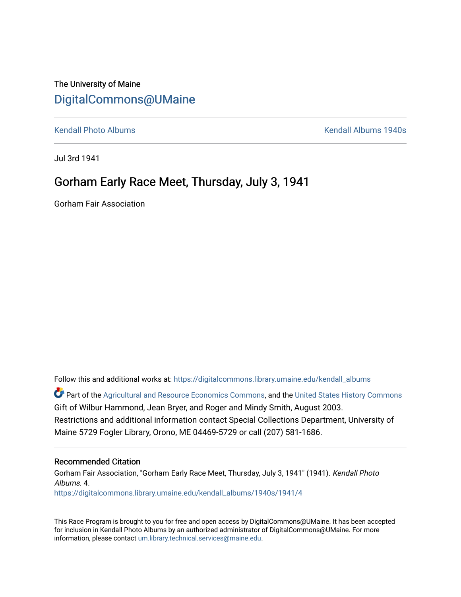# The University of Maine [DigitalCommons@UMaine](https://digitalcommons.library.umaine.edu/)

[Kendall Photo Albums](https://digitalcommons.library.umaine.edu/kendall_albums) [Kendall Albums 1940s](https://digitalcommons.library.umaine.edu/kendall_albums/1940s) 

Jul 3rd 1941

# Gorham Early Race Meet, Thursday, July 3, 1941

Gorham Fair Association

Follow this and additional works at: [https://digitalcommons.library.umaine.edu/kendall\\_albums](https://digitalcommons.library.umaine.edu/kendall_albums?utm_source=digitalcommons.library.umaine.edu%2Fkendall_albums%2F1940s%2F1941%2F4&utm_medium=PDF&utm_campaign=PDFCoverPages) 

**C** Part of the [Agricultural and Resource Economics Commons,](http://network.bepress.com/hgg/discipline/317?utm_source=digitalcommons.library.umaine.edu%2Fkendall_albums%2F1940s%2F1941%2F4&utm_medium=PDF&utm_campaign=PDFCoverPages) and the [United States History Commons](http://network.bepress.com/hgg/discipline/495?utm_source=digitalcommons.library.umaine.edu%2Fkendall_albums%2F1940s%2F1941%2F4&utm_medium=PDF&utm_campaign=PDFCoverPages) Gift of Wilbur Hammond, Jean Bryer, and Roger and Mindy Smith, August 2003. Restrictions and additional information contact Special Collections Department, University of Maine 5729 Fogler Library, Orono, ME 04469-5729 or call (207) 581-1686.

### Recommended Citation

Gorham Fair Association, "Gorham Early Race Meet, Thursday, July 3, 1941" (1941). Kendall Photo Albums. 4. [https://digitalcommons.library.umaine.edu/kendall\\_albums/1940s/1941/4](https://digitalcommons.library.umaine.edu/kendall_albums/1940s/1941/4?utm_source=digitalcommons.library.umaine.edu%2Fkendall_albums%2F1940s%2F1941%2F4&utm_medium=PDF&utm_campaign=PDFCoverPages) 

This Race Program is brought to you for free and open access by DigitalCommons@UMaine. It has been accepted for inclusion in Kendall Photo Albums by an authorized administrator of DigitalCommons@UMaine. For more information, please contact [um.library.technical.services@maine.edu](mailto:um.library.technical.services@maine.edu).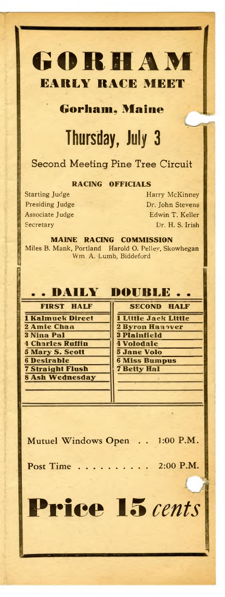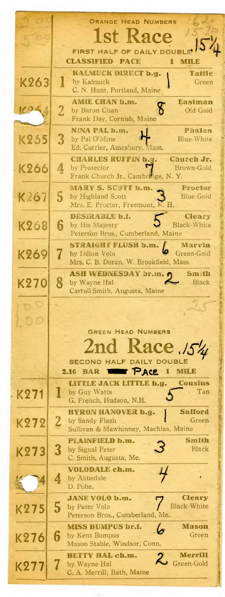|             | ORANGE HEAD NUMBERS                                                                  |  |  |  |
|-------------|--------------------------------------------------------------------------------------|--|--|--|
|             | 1st Race                                                                             |  |  |  |
|             | FIRST HALF OF DAILY DOUBLE                                                           |  |  |  |
|             | <b>CLASSIFIED</b><br><b>PACE</b><br>1<br>MILE                                        |  |  |  |
| K263        | KALMUCK DIRECT b.g.<br>Tattle<br>by Kalmuck<br>Green                                 |  |  |  |
|             | C. N. Hunt, Portland, Maine                                                          |  |  |  |
| K O K       | <b>AMIE CHAN b.m.</b><br>Eastman<br>႙<br>$\overline{2}$<br>by Baron Chan<br>Old Gold |  |  |  |
|             | Frank Day, Cornish, Maine                                                            |  |  |  |
| <b>K255</b> | NINA PAL b.m.<br>Phalen<br>3<br>by Pal O'Mine<br>Blue-White                          |  |  |  |
|             | Ed. Currier, Amesbury, Mass.                                                         |  |  |  |
|             | <b>CHARLES RUFFIN b.g.</b><br>Church Jr.<br>by Protector<br>Brown-Gold               |  |  |  |
| K266        | 4<br>Frank Church Jr., Cambridge, N.Y.                                               |  |  |  |
|             | <b>MARY S. SCOTT b.m.</b><br>Proctor                                                 |  |  |  |
| K267        | 5<br>by Highland Scott<br>Blue-Gold<br>Mrs. E. Proctor, Freemont, N. H.              |  |  |  |
|             | <b>DESIRABLE b.f.</b><br><b>Cleary</b>                                               |  |  |  |
| K2ó8        | 6<br><b>Black-White</b><br>by His Majesty<br>Peterson Bros., Cumberland, Maine       |  |  |  |
|             | STRAIGHT FLUSH b.m.<br>Marvin                                                        |  |  |  |
| K269        | 7<br>Green-Gold<br>by Dillon Volo<br>Mrs. C. B. Doran, W. Brookfield, Mass.          |  |  |  |
|             | <b>ASH WEDNESDAY br.m. (</b><br>Sm th                                                |  |  |  |
| K270        | 8<br>Black<br>by Wayne Hal                                                           |  |  |  |
|             | Carroll Smith, Augusta, Maine                                                        |  |  |  |
|             |                                                                                      |  |  |  |
|             |                                                                                      |  |  |  |
|             | <b>GREEN HEAD NUMBERS</b>                                                            |  |  |  |
|             | kace.154                                                                             |  |  |  |
|             | <b>SECOND HALF DAILY DOUBLE</b><br>2.16<br><b>BAR</b><br>1<br>мпле                   |  |  |  |
|             | PACE<br><b>Cousins</b><br>LITTLE JACK LITTLE b.g.                                    |  |  |  |
| K271        | Tan<br>by Guy Watts                                                                  |  |  |  |
|             | G. French, Hudson, N.H.<br><b>Safford</b><br>BYRON HANOVER b.g.                      |  |  |  |
| K272        | $\bf{2}$<br>Green<br>by Sandy Flash                                                  |  |  |  |
|             | Sullivan & Mawhinney, Machias, Maine                                                 |  |  |  |
| K273        | Smith<br><b>PLAINFIELD b.m.</b><br>3<br><b>Black</b><br>by Signal Peter              |  |  |  |
|             | C. Smith, Augusta, Me.                                                               |  |  |  |
|             | <b>VOLODALE ch.m.</b><br>4<br>by Abbedale                                            |  |  |  |
|             | D. Pohe,                                                                             |  |  |  |
|             | <b>JANE VOLO b.m.</b><br>Cleary<br>5<br><b>Black-White</b><br>by Peter Volo          |  |  |  |
| K275        | Peterson Bros., Cumberland, Me.                                                      |  |  |  |
|             | <b>MISS BUMPUS br.f.</b><br>Mason<br>Green                                           |  |  |  |
| K276        | 6<br>by Kent Bumpus.<br>Mason Stable, Windsor, Conn.                                 |  |  |  |
|             | Merrill<br>BETTY HAL ch.m.<br>Green-Gold                                             |  |  |  |
| K277        | by Wayne Hal<br>C. A. Merrill, Bath, Maine                                           |  |  |  |
|             |                                                                                      |  |  |  |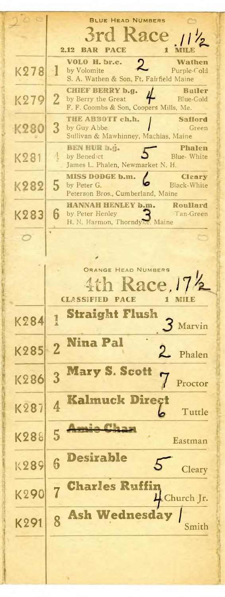Blue Head Numbers ace **2.12 BAR PACE 1 MILE VOLO H. br.c. Wathen**  $K278$  1 by Volomite S. A. Wathen & Son, Ft. Fairfield Maine **CHIEF BERRY b.g. 4** Butler<br>by Berry the Great **4** Blue-Gold K279 2 by Berry the Great F. F. Coombs & Son, Coopers Mills, Me. **THE ABBOTT ch.h. finally in Safford** 3 K280 by Guy Abbe *Green* Sullivan & Mawhinney, Machias, Maine BEN HUR b.g. **Phalen**  $K281$   $4$ by Benedict **3** Blue- White James L. Phalen, Newmarket N. H. **MISS DODGE b.m. Cleary** 5 K282 by Peter G. **D** Black-White Peterson Bros., Cumberland, Maine **HANNAH HENLEY b.m.**<br>by Peter Henley<br>**Can-Green** K283 6 by Peter Henley<br>H. N. Harmon, Thorndyke, Maine H. N. Harmon, Thorndyk Orange Head Numbers  $\mathop{\rm acc.\,}\limits_{\substack{1 \text{ MIE}}}$ **CLASSIFIED PACE 1 MILE** Straight Flush K284 <sup>1</sup> 3 Marvin Nina Pal K285 2 Phalen Mary S. Scott K286 3 Proctor Kalmuck Direct K287 4 Tuttle <u>Amie Cha</u> K288 5 Eastman Desirable K289 6 5 **Cleary** Charles Ruffin K290 7 4 Church Jr. Ash Wednesday / K291 8 Smith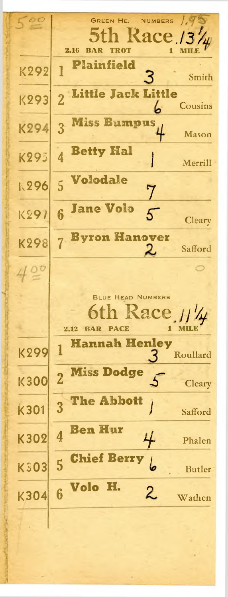GREEN HE. NUMBERS  $\sqrt{q}$  $\mathrm{acc}_{1}$  /  $\mathrm{GHz}_{1}$ **2.16 BAR TROT 1 MILE** Plainfield K292 1 3 Smith Little Jack Little K293 2 **Cousins** Miss Bumpus 3 K294 Mason Betty Hal K29j 4 Merrill Volodale **k296** 5 7 Jane Volo K297 6 5 **Cleary** Byron Hanover K298 7 Safford  $420$ O Blue Head Numbers ace / **2.12 BAR PACE 1 MILE** Hannah Henley K299 <sup>1</sup> Roullard Miss Dodge **K300 2**  $\overline{5}$ **Cleary** The Abbott K301 3 J Safford Ben Hur K302 4 4 Phalen Chief Berry K<sub>303</sub> 5 کا Butler Volo H. 2 K304 6 Wathen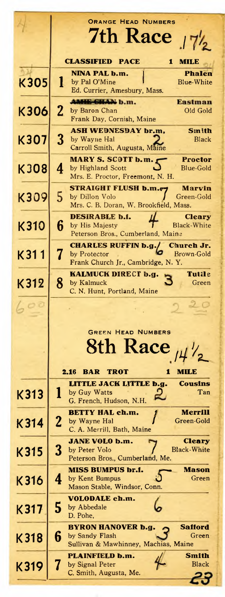|             | <b>ORANGE HEAD NUMBERS</b><br><b>7th Race</b><br>17 <sub>2</sub>                    |  |  |  |
|-------------|-------------------------------------------------------------------------------------|--|--|--|
|             |                                                                                     |  |  |  |
|             |                                                                                     |  |  |  |
|             | <b>CLASSIFIED</b><br><b>PACE</b><br>MILE<br>1                                       |  |  |  |
|             | <b>NINA PAL b.m.</b><br>Phalen                                                      |  |  |  |
| <b>K305</b> | 1<br>by Pal O'Mine<br><b>Blue-White</b>                                             |  |  |  |
|             | Ed. Currier, Amesbury, Mass.                                                        |  |  |  |
| K306        | <b>AMHE CHAN b.m.</b><br><b>Eastman</b><br>$\mathbf 2$<br>Old Gold<br>by Baron Chan |  |  |  |
|             | Frank Day, Cornish, Maine                                                           |  |  |  |
|             | <b>ASH WEDNESDAY br.m,</b><br>Smith                                                 |  |  |  |
| K307        | $\boldsymbol{3}$<br>by Wayne Hal<br>Black                                           |  |  |  |
|             | Carroll Smith, Augusta, Maine                                                       |  |  |  |
| K308        | MARY S. SCOTT b.m.<br>Proctor<br>4<br><b>Blue-Gold</b><br>by Highland Scott         |  |  |  |
|             | Mrs. E. Proctor, Freemont, N. H.                                                    |  |  |  |
|             | STRAIGHT FLUSH b.m.e<br><b>Marvin</b>                                               |  |  |  |
| K309        | 5<br>by Dillon Volo<br>Green-Gold                                                   |  |  |  |
|             | Mrs. C. B. Doran, W. Brookfield, Mass.                                              |  |  |  |
| K310        | DESIRABLE b.f.<br>Cleary<br>6<br><b>Black-White</b><br>by His Majesty               |  |  |  |
|             | Peterson Bros., Cumberland, Maine                                                   |  |  |  |
|             | <b>CHARLES RUFFIN b.g./</b><br>Church Jr.                                           |  |  |  |
| K311        | 7<br>by Protector<br>Brown-Gold                                                     |  |  |  |
|             | Frank Church Jr., Cambridge, N.Y.                                                   |  |  |  |
| K312        | <b>Tutile</b><br>KALMUCK DIRECT b.g.<br>8<br>by Kalmuck<br>Green                    |  |  |  |
|             | C. N. Hunt, Portland, Maine                                                         |  |  |  |
|             |                                                                                     |  |  |  |
|             |                                                                                     |  |  |  |
|             |                                                                                     |  |  |  |
|             | <b>GREEN HEAD NUMBERS</b>                                                           |  |  |  |
|             | 8th Race $\mu\frac{1}{2}$                                                           |  |  |  |
|             |                                                                                     |  |  |  |
|             | <b>BAR</b><br>2.16<br>TROT<br>MILE<br>1                                             |  |  |  |
|             | <b>Cousins</b><br>LITTLE JACK LITTLE b.g.                                           |  |  |  |
| K313        | Tan<br>by Guy Watts<br>2                                                            |  |  |  |
|             | G. French, Hudson, N.H.                                                             |  |  |  |
| K314        | <b>BETTY HAL ch.m.</b><br>Merrill<br>2<br>Green-Gold<br>by Wayne Hal                |  |  |  |
|             | C. A. Merrill, Bath, Maine                                                          |  |  |  |
|             | <b>JANE VOLO b.m.</b><br>Cleary                                                     |  |  |  |
| K315        | 3<br><b>Black-White</b><br>by Peter Volo                                            |  |  |  |
|             | Peterson Bros., Cumberland, Me.                                                     |  |  |  |
|             | <b>MISS BUMPUS br.f.</b><br>Mason<br>by Kent Bumpus<br>Green<br>4                   |  |  |  |
| K316        | Mason Stable, Windsor, Conn.                                                        |  |  |  |
|             | <b>VOLODALE ch.m.</b>                                                               |  |  |  |
| K317        | 5<br>by Abbedale                                                                    |  |  |  |
|             | D. Pohe,                                                                            |  |  |  |
|             | <b>Safford</b><br>BYRON HANOVER b.g.<br>6<br>by Sandy Flash<br>Green                |  |  |  |
| K318        | Sullivan & Mawhinney, Machias, Maine                                                |  |  |  |
|             | Smith<br>PLAINFIELD b.m.                                                            |  |  |  |
| K319        | <b>Black</b><br>by Signal Peter                                                     |  |  |  |
|             | C. Smith, Augusta, Me.                                                              |  |  |  |